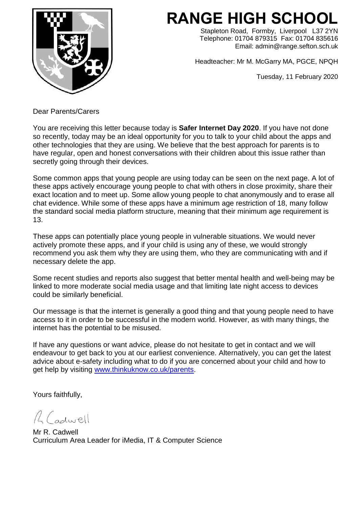

## **RANGE HIGH SCHOOL**

Stapleton Road, Formby, Liverpool L37 2YN Telephone: 01704 879315 Fax: 01704 835616 Email: admin@range.sefton.sch.uk

Headteacher: Mr M. McGarry MA, PGCE, NPQH

Tuesday, 11 February 2020

Dear Parents/Carers

You are receiving this letter because today is **Safer Internet Day 2020**. If you have not done so recently, today may be an ideal opportunity for you to talk to your child about the apps and other technologies that they are using. We believe that the best approach for parents is to have regular, open and honest conversations with their children about this issue rather than secretly going through their devices.

Some common apps that young people are using today can be seen on the next page. A lot of these apps actively encourage young people to chat with others in close proximity, share their exact location and to meet up. Some allow young people to chat anonymously and to erase all chat evidence. While some of these apps have a minimum age restriction of 18, many follow the standard social media platform structure, meaning that their minimum age requirement is 13.

These apps can potentially place young people in vulnerable situations. We would never actively promote these apps, and if your child is using any of these, we would strongly recommend you ask them why they are using them, who they are communicating with and if necessary delete the app.

Some recent studies and reports also suggest that better mental health and well-being may be linked to more moderate social media usage and that limiting late night access to devices could be similarly beneficial.

Our message is that the internet is generally a good thing and that young people need to have access to it in order to be successful in the modern world. However, as with many things, the internet has the potential to be misused.

If have any questions or want advice, please do not hesitate to get in contact and we will endeavour to get back to you at our earliest convenience. Alternatively, you can get the latest advice about e-safety including what to do if you are concerned about your child and how to get help by visiting [www.thinkuknow.co.uk/parents.](http://www.thinkuknow.co.uk/parents)

Yours faithfully,

R Cadwell

Mr R. Cadwell Curriculum Area Leader for iMedia, IT & Computer Science